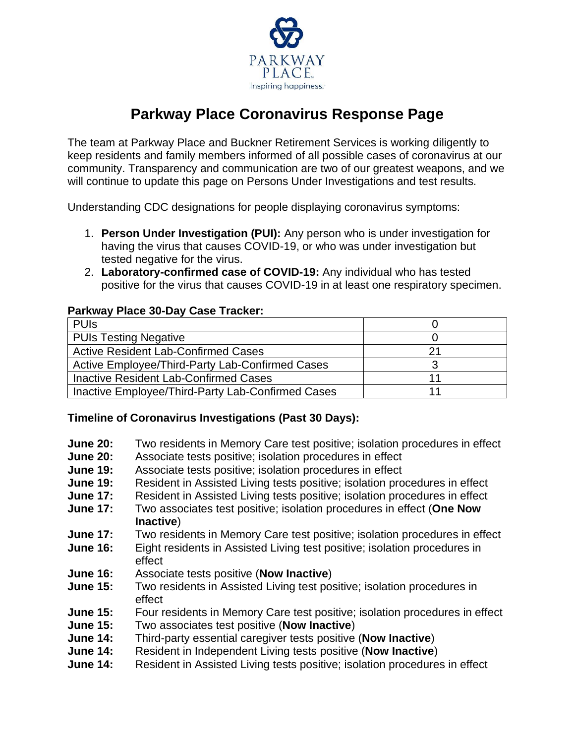

## **Parkway Place Coronavirus Response Page**

The team at Parkway Place and Buckner Retirement Services is working diligently to keep residents and family members informed of all possible cases of coronavirus at our community. Transparency and communication are two of our greatest weapons, and we will continue to update this page on Persons Under Investigations and test results.

Understanding CDC designations for people displaying coronavirus symptoms:

- 1. **Person Under Investigation (PUI):** Any person who is under investigation for having the virus that causes COVID-19, or who was under investigation but tested negative for the virus.
- 2. **Laboratory-confirmed case of COVID-19:** Any individual who has tested positive for the virus that causes COVID-19 in at least one respiratory specimen.

## **Parkway Place 30-Day Case Tracker:**

| <b>PUIS</b>                                       |    |
|---------------------------------------------------|----|
| <b>PUIs Testing Negative</b>                      |    |
| Active Resident Lab-Confirmed Cases               | 21 |
| Active Employee/Third-Party Lab-Confirmed Cases   |    |
| Inactive Resident Lab-Confirmed Cases             | 11 |
| Inactive Employee/Third-Party Lab-Confirmed Cases |    |

## **Timeline of Coronavirus Investigations (Past 30 Days):**

- **June 20:** Two residents in Memory Care test positive; isolation procedures in effect
- **June 20:** Associate tests positive; isolation procedures in effect
- **June 19:** Associate tests positive; isolation procedures in effect
- **June 19:** Resident in Assisted Living tests positive; isolation procedures in effect
- **June 17:** Resident in Assisted Living tests positive; isolation procedures in effect
- **June 17:** Two associates test positive; isolation procedures in effect (**One Now Inactive**)
- **June 17:** Two residents in Memory Care test positive; isolation procedures in effect
- **June 16:** Eight residents in Assisted Living test positive; isolation procedures in effect
- **June 16:** Associate tests positive (**Now Inactive**)
- **June 15:** Two residents in Assisted Living test positive; isolation procedures in effect
- **June 15:** Four residents in Memory Care test positive; isolation procedures in effect
- **June 15:** Two associates test positive (**Now Inactive**)
- **June 14:** Third-party essential caregiver tests positive (**Now Inactive**)
- **June 14:** Resident in Independent Living tests positive (**Now Inactive**)
- **June 14:** Resident in Assisted Living tests positive; isolation procedures in effect